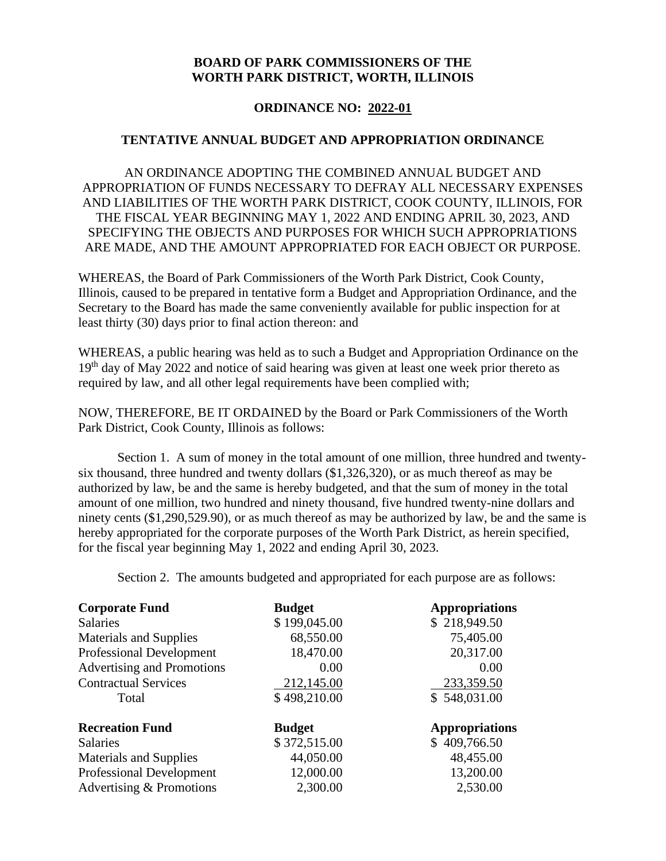## **BOARD OF PARK COMMISSIONERS OF THE WORTH PARK DISTRICT, WORTH, ILLINOIS**

# **ORDINANCE NO: 2022-01**

### **TENTATIVE ANNUAL BUDGET AND APPROPRIATION ORDINANCE**

AN ORDINANCE ADOPTING THE COMBINED ANNUAL BUDGET AND APPROPRIATION OF FUNDS NECESSARY TO DEFRAY ALL NECESSARY EXPENSES AND LIABILITIES OF THE WORTH PARK DISTRICT, COOK COUNTY, ILLINOIS, FOR THE FISCAL YEAR BEGINNING MAY 1, 2022 AND ENDING APRIL 30, 2023, AND SPECIFYING THE OBJECTS AND PURPOSES FOR WHICH SUCH APPROPRIATIONS ARE MADE, AND THE AMOUNT APPROPRIATED FOR EACH OBJECT OR PURPOSE.

WHEREAS, the Board of Park Commissioners of the Worth Park District, Cook County, Illinois, caused to be prepared in tentative form a Budget and Appropriation Ordinance, and the Secretary to the Board has made the same conveniently available for public inspection for at least thirty (30) days prior to final action thereon: and

WHEREAS, a public hearing was held as to such a Budget and Appropriation Ordinance on the 19<sup>th</sup> day of May 2022 and notice of said hearing was given at least one week prior thereto as required by law, and all other legal requirements have been complied with;

NOW, THEREFORE, BE IT ORDAINED by the Board or Park Commissioners of the Worth Park District, Cook County, Illinois as follows:

Section 1. A sum of money in the total amount of one million, three hundred and twentysix thousand, three hundred and twenty dollars (\$1,326,320), or as much thereof as may be authorized by law, be and the same is hereby budgeted, and that the sum of money in the total amount of one million, two hundred and ninety thousand, five hundred twenty-nine dollars and ninety cents (\$1,290,529.90), or as much thereof as may be authorized by law, be and the same is hereby appropriated for the corporate purposes of the Worth Park District, as herein specified, for the fiscal year beginning May 1, 2022 and ending April 30, 2023.

Section 2. The amounts budgeted and appropriated for each purpose are as follows:

| <b>Corporate Fund</b>           | <b>Budget</b> | <b>Appropriations</b> |
|---------------------------------|---------------|-----------------------|
| <b>Salaries</b>                 | \$199,045.00  | \$218,949.50          |
| <b>Materials and Supplies</b>   | 68,550.00     | 75,405.00             |
| <b>Professional Development</b> | 18,470.00     | 20,317.00             |
| Advertising and Promotions      | 0.00          | 0.00                  |
| <b>Contractual Services</b>     | 212,145.00    | 233,359.50            |
| Total                           | \$498,210.00  | \$548,031.00          |
| <b>Recreation Fund</b>          | <b>Budget</b> | <b>Appropriations</b> |
| <b>Salaries</b>                 | \$372,515.00  | \$409,766.50          |
| <b>Materials and Supplies</b>   | 44,050.00     | 48,455.00             |
| <b>Professional Development</b> | 12,000.00     | 13,200.00             |
| Advertising & Promotions        | 2,300.00      | 2,530.00              |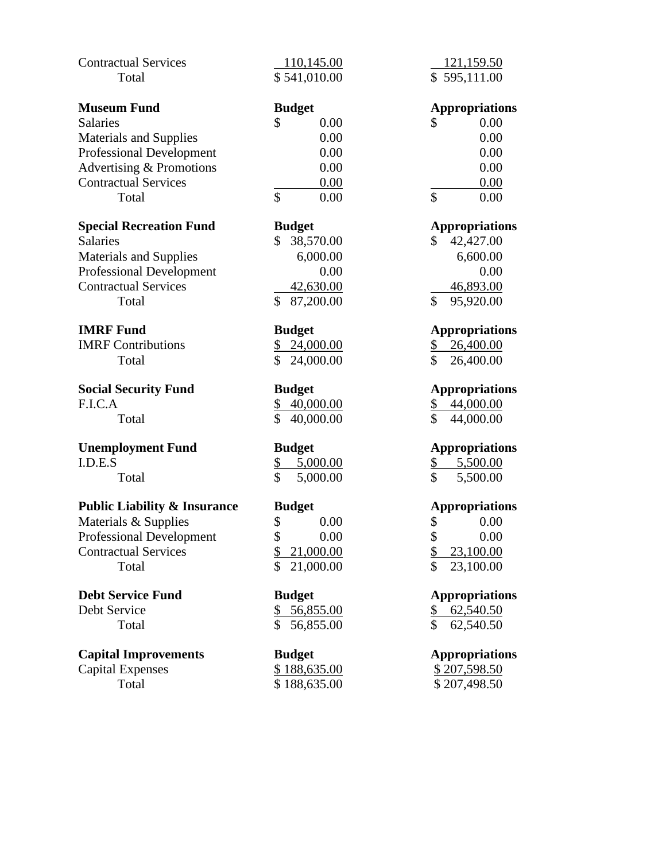| <b>Contractual Services</b>             | 110,145.00                                         | 121,159.50                                    |
|-----------------------------------------|----------------------------------------------------|-----------------------------------------------|
| Total                                   | \$541,010.00                                       | \$595,111.00                                  |
|                                         |                                                    |                                               |
| <b>Museum Fund</b>                      | <b>Budget</b>                                      | <b>Appropriations</b>                         |
| <b>Salaries</b>                         | \$<br>0.00                                         | \$<br>0.00                                    |
| <b>Materials and Supplies</b>           | 0.00                                               | 0.00                                          |
| <b>Professional Development</b>         | 0.00                                               | 0.00                                          |
| Advertising & Promotions                | 0.00                                               | 0.00                                          |
| <b>Contractual Services</b>             | 0.00                                               | 0.00                                          |
| Total                                   | $\mathbf{\hat{S}}$<br>0.00                         | \$<br>0.00                                    |
| <b>Special Recreation Fund</b>          | <b>Budget</b>                                      | <b>Appropriations</b>                         |
| <b>Salaries</b>                         | 38,570.00<br>\$                                    | 42,427.00<br>\$                               |
| <b>Materials and Supplies</b>           | 6,000.00                                           | 6,600.00                                      |
| <b>Professional Development</b>         | 0.00                                               | 0.00                                          |
| <b>Contractual Services</b>             | 42,630.00                                          | 46,893.00                                     |
| Total                                   | \$<br>87,200.00                                    | \$<br>95,920.00                               |
|                                         |                                                    |                                               |
| <b>IMRF Fund</b>                        | <b>Budget</b>                                      | <b>Appropriations</b>                         |
| <b>IMRF</b> Contributions               | \$<br>24,000.00                                    | 26,400.00<br>\$                               |
| Total                                   | \$<br>24,000.00                                    | \$<br>26,400.00                               |
| <b>Social Security Fund</b>             | <b>Budget</b>                                      | <b>Appropriations</b>                         |
| F.I.C.A                                 | \$<br>40,000.00                                    | 44,000.00<br>\$                               |
| Total                                   | \$<br>40,000.00                                    | \$<br>44,000.00                               |
|                                         |                                                    |                                               |
| <b>Unemployment Fund</b>                | <b>Budget</b>                                      | <b>Appropriations</b>                         |
| I.D.E.S                                 | $\frac{1}{2}$<br>5,000.00                          | 5,500.00<br><u>\$</u>                         |
| Total                                   | \$<br>5,000.00                                     | \$<br>5,500.00                                |
| <b>Public Liability &amp; Insurance</b> |                                                    |                                               |
|                                         |                                                    |                                               |
|                                         | <b>Budget</b>                                      | <b>Appropriations</b>                         |
| Materials & Supplies                    | \$<br>0.00                                         | \$<br>0.00                                    |
| <b>Professional Development</b>         | \$<br>0.00                                         | \$<br>0.00                                    |
| <b>Contractual Services</b><br>Total    | \$<br>21,000.00<br>$\mathbf{\hat{S}}$<br>21,000.00 | $\frac{1}{2}$<br>23,100.00<br>\$<br>23,100.00 |
|                                         |                                                    |                                               |
| <b>Debt Service Fund</b>                | <b>Budget</b>                                      | <b>Appropriations</b>                         |
| Debt Service                            | <u>56,855.00</u><br>\$                             | 62,540.50<br><u>\$</u>                        |
| Total                                   | $\mathcal{S}$<br>56,855.00                         | \$<br>62,540.50                               |
| <b>Capital Improvements</b>             | <b>Budget</b>                                      | <b>Appropriations</b>                         |
| <b>Capital Expenses</b>                 | \$188,635.00                                       | \$207,598.50                                  |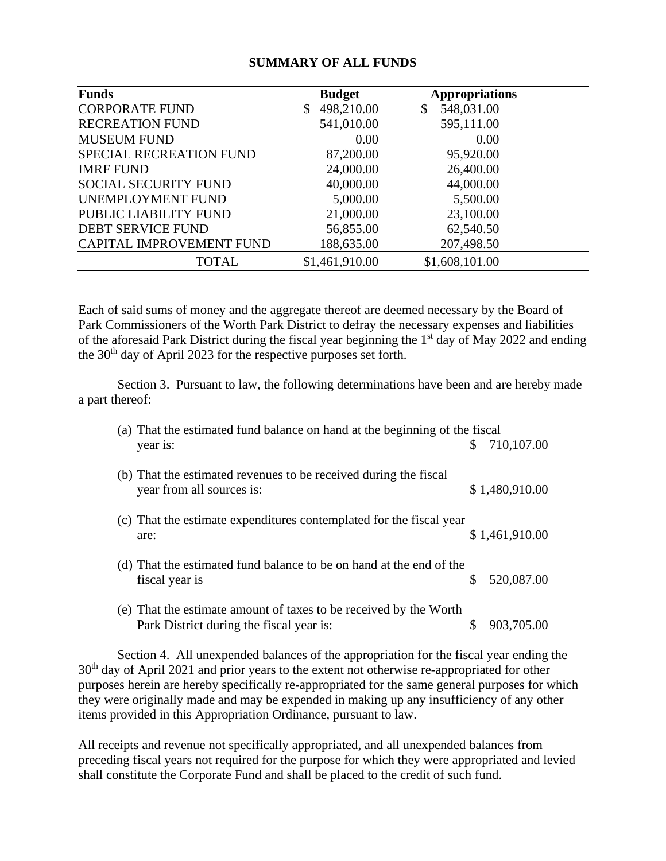## **SUMMARY OF ALL FUNDS**

| <b>Funds</b>                | <b>Budget</b>    | <b>Appropriations</b> |  |
|-----------------------------|------------------|-----------------------|--|
| <b>CORPORATE FUND</b>       | 498,210.00<br>\$ | 548,031.00<br>\$      |  |
| <b>RECREATION FUND</b>      | 541,010.00       | 595,111.00            |  |
| <b>MUSEUM FUND</b>          | 0.00             | 0.00                  |  |
| SPECIAL RECREATION FUND     | 87,200.00        | 95,920.00             |  |
| <b>IMRF FUND</b>            | 24,000.00        | 26,400.00             |  |
| <b>SOCIAL SECURITY FUND</b> | 40,000.00        | 44,000.00             |  |
| UNEMPLOYMENT FUND           | 5,000.00         | 5,500.00              |  |
| PUBLIC LIABILITY FUND       | 21,000.00        | 23,100.00             |  |
| <b>DEBT SERVICE FUND</b>    | 56,855.00        | 62,540.50             |  |
| CAPITAL IMPROVEMENT FUND    | 188,635.00       | 207,498.50            |  |
| <b>TOTAL</b>                | \$1,461,910.00   | \$1,608,101.00        |  |

Each of said sums of money and the aggregate thereof are deemed necessary by the Board of Park Commissioners of the Worth Park District to defray the necessary expenses and liabilities of the aforesaid Park District during the fiscal year beginning the 1<sup>st</sup> day of May 2022 and ending the 30<sup>th</sup> day of April 2023 for the respective purposes set forth.

Section 3. Pursuant to law, the following determinations have been and are hereby made a part thereof:

| (a) That the estimated fund balance on hand at the beginning of the fiscal                                    |    |                |
|---------------------------------------------------------------------------------------------------------------|----|----------------|
| year is:                                                                                                      | S. | 710,107.00     |
| (b) That the estimated revenues to be received during the fiscal<br>year from all sources is:                 |    | \$1,480,910.00 |
| (c) That the estimate expenditures contemplated for the fiscal year<br>are:                                   |    | \$1,461,910.00 |
| (d) That the estimated fund balance to be on hand at the end of the<br>fiscal year is                         |    | 520,087.00     |
| (e) That the estimate amount of taxes to be received by the Worth<br>Park District during the fiscal year is: |    | 903,705.00     |

Section 4. All unexpended balances of the appropriation for the fiscal year ending the 30<sup>th</sup> day of April 2021 and prior years to the extent not otherwise re-appropriated for other purposes herein are hereby specifically re-appropriated for the same general purposes for which they were originally made and may be expended in making up any insufficiency of any other items provided in this Appropriation Ordinance, pursuant to law.

All receipts and revenue not specifically appropriated, and all unexpended balances from preceding fiscal years not required for the purpose for which they were appropriated and levied shall constitute the Corporate Fund and shall be placed to the credit of such fund.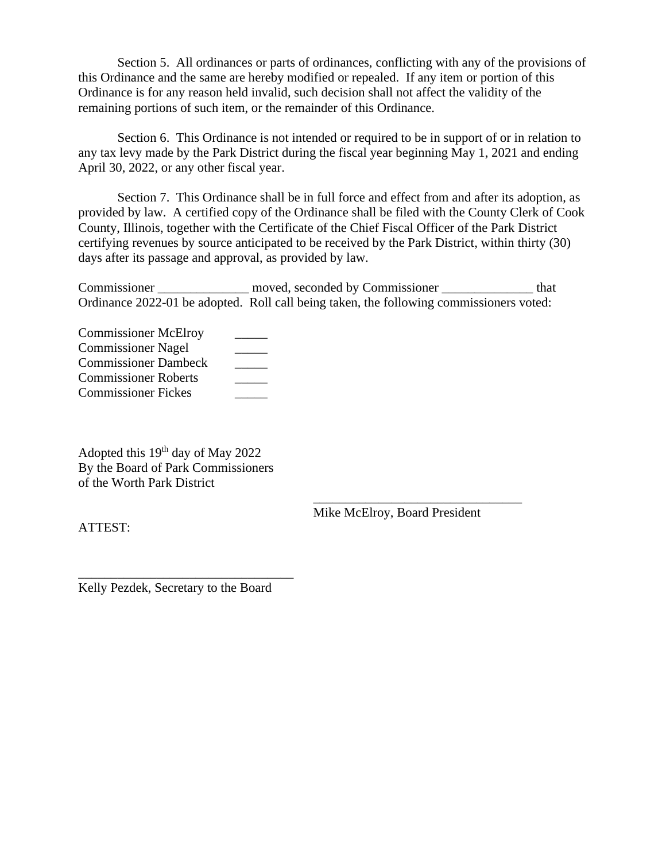Section 5. All ordinances or parts of ordinances, conflicting with any of the provisions of this Ordinance and the same are hereby modified or repealed. If any item or portion of this Ordinance is for any reason held invalid, such decision shall not affect the validity of the remaining portions of such item, or the remainder of this Ordinance.

Section 6. This Ordinance is not intended or required to be in support of or in relation to any tax levy made by the Park District during the fiscal year beginning May 1, 2021 and ending April 30, 2022, or any other fiscal year.

Section 7. This Ordinance shall be in full force and effect from and after its adoption, as provided by law. A certified copy of the Ordinance shall be filed with the County Clerk of Cook County, Illinois, together with the Certificate of the Chief Fiscal Officer of the Park District certifying revenues by source anticipated to be received by the Park District, within thirty (30) days after its passage and approval, as provided by law.

Commissioner moved, seconded by Commissioner that Ordinance 2022-01 be adopted. Roll call being taken, the following commissioners voted:

| <b>Commissioner McElroy</b> |  |
|-----------------------------|--|
| <b>Commissioner Nagel</b>   |  |
| <b>Commissioner Dambeck</b> |  |
| <b>Commissioner Roberts</b> |  |
| <b>Commissioner Fickes</b>  |  |

Adopted this 19th day of May 2022 By the Board of Park Commissioners of the Worth Park District

Mike McElroy, Board President

\_\_\_\_\_\_\_\_\_\_\_\_\_\_\_\_\_\_\_\_\_\_\_\_\_\_\_\_\_\_\_\_

ATTEST:

Kelly Pezdek, Secretary to the Board

\_\_\_\_\_\_\_\_\_\_\_\_\_\_\_\_\_\_\_\_\_\_\_\_\_\_\_\_\_\_\_\_\_